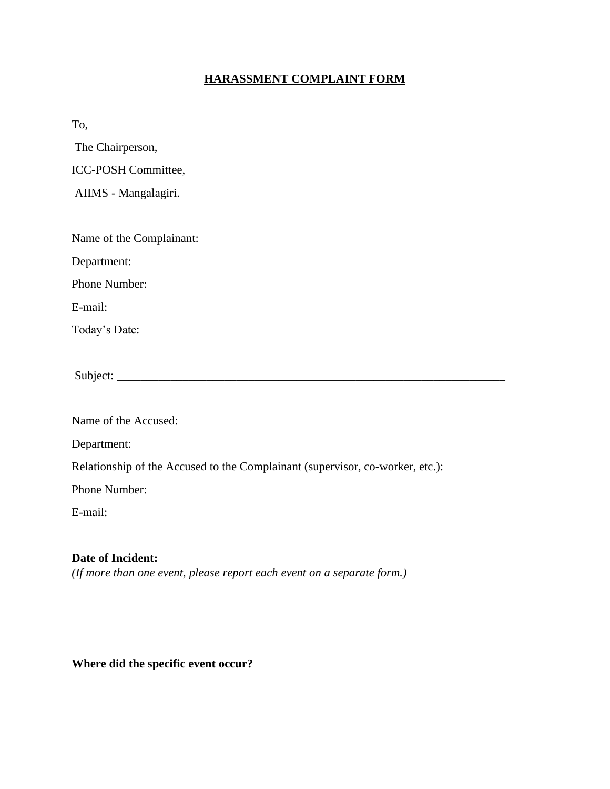## **HARASSMENT COMPLAINT FORM**

To,

The Chairperson,

ICC-POSH Committee,

AIIMS - Mangalagiri.

| Name of the Complainant: |  |
|--------------------------|--|
|--------------------------|--|

Department:

Phone Number:

E-mail:

Today's Date:

Subject: \_\_\_\_\_\_\_\_\_\_\_\_\_\_\_\_\_\_\_\_\_\_\_\_\_\_\_\_\_\_\_\_\_\_\_\_\_\_\_\_\_\_\_\_\_\_\_\_\_\_\_\_\_\_\_\_\_\_\_\_\_\_\_\_\_

| Name of the Accused: |  |
|----------------------|--|
|----------------------|--|

Department:

Relationship of the Accused to the Complainant (supervisor, co-worker, etc.):

Phone Number:

E-mail:

## **Date of Incident:**

*(If more than one event, please report each event on a separate form.)*

**Where did the specific event occur?**